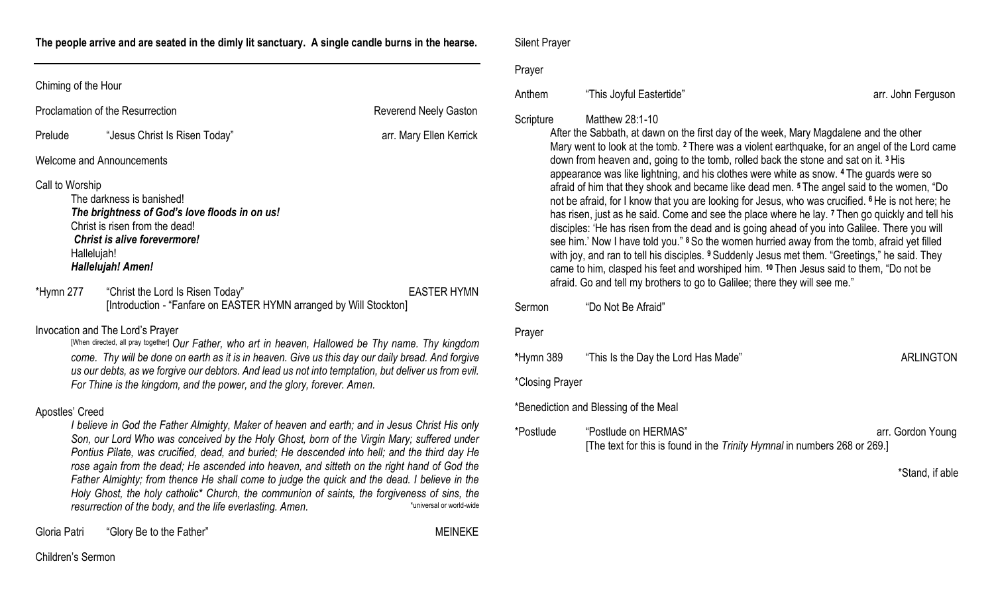**The people arrive and are seated in the dimly lit sanctuary. A single candle burns in the hearse.** 

| Proclamation of the Resurrection |                                                                                                                                                                                                                                                                                                                                                                                                                               | <b>Reverend Neely Gaston</b> |
|----------------------------------|-------------------------------------------------------------------------------------------------------------------------------------------------------------------------------------------------------------------------------------------------------------------------------------------------------------------------------------------------------------------------------------------------------------------------------|------------------------------|
| Prelude                          | "Jesus Christ Is Risen Today"                                                                                                                                                                                                                                                                                                                                                                                                 | arr. Mary Ellen Kerrick      |
|                                  | Welcome and Announcements                                                                                                                                                                                                                                                                                                                                                                                                     |                              |
| Call to Worship                  | The darkness is banished!<br>The brightness of God's love floods in on us!<br>Christ is risen from the dead!<br>Christ is alive forevermore!<br>Hallelujah!<br>Hallelujah! Amen!                                                                                                                                                                                                                                              |                              |
| *Hymn 277                        | "Christ the Lord Is Risen Today"<br>[Introduction - "Fanfare on EASTER HYMN arranged by Will Stockton]                                                                                                                                                                                                                                                                                                                        | <b>EASTER HYMN</b>           |
|                                  | Invocation and The Lord's Prayer<br>[When directed, all pray together] Our Father, who art in heaven, Hallowed be Thy name. Thy kingdom<br>come. Thy will be done on earth as it is in heaven. Give us this day our daily bread. And forgive<br>us our debts, as we forgive our debtors. And lead us not into temptation, but deliver us from evil.<br>For Thine is the kingdom, and the power, and the glory, forever. Amen. |                              |

## Apostles' Creed

*I believe in God the Father Almighty, Maker of heaven and earth; and in Jesus Christ His only Son, our Lord Who was conceived by the Holy Ghost, born of the Virgin Mary; suffered under Pontius Pilate, was crucified, dead, and buried; He descended into hell; and the third day He rose again from the dead; He ascended into heaven, and sitteth on the right hand of God the Father Almighty; from thence He shall come to judge the quick and the dead. I believe in the Holy Ghost, the holy catholic\* Church, the communion of saints, the forgiveness of sins, the resurrection of the body, and the life everlasting. Amen.* \*universal or world-wide

Gloria Patri "Glory Be to the Father" Contract of the Society of The MEINEKE

Silent Prayer

### Prayer

# Anthem "This Joyful Eastertide" arr. John Ferguson

# Scripture Matthew 28:1-10

After the Sabbath, at dawn on the first day of the week, Mary Magdalene and the other Mary went to look at the tomb. **<sup>2</sup>** There was a violent earthquake, for an angel of the Lord came down from heaven and, going to the tomb, rolled back the stone and sat on it. **<sup>3</sup>** His appearance was like lightning, and his clothes were white as snow. **<sup>4</sup>** The guards were so afraid of him that they shook and became like dead men. **<sup>5</sup>** The angel said to the women, "Do not be afraid, for I know that you are looking for Jesus, who was crucified. **<sup>6</sup>** He is not here; he has risen, just as he said. Come and see the place where he lay. **<sup>7</sup>** Then go quickly and tell his disciples: 'He has risen from the dead and is going ahead of you into Galilee. There you will see him.' Now I have told you." **<sup>8</sup>** So the women hurried away from the tomb, afraid yet filled with joy, and ran to tell his disciples. **<sup>9</sup>** Suddenly Jesus met them. "Greetings," he said. They came to him, clasped his feet and worshiped him. **<sup>10</sup>** Then Jesus said to them, "Do not be afraid. Go and tell my brothers to go to Galilee; there they will see me."

| Sermon          | "Do Not Be Afraid"                                                                                |                   |
|-----------------|---------------------------------------------------------------------------------------------------|-------------------|
| Prayer          |                                                                                                   |                   |
| *Hymn 389       | "This Is the Day the Lord Has Made"                                                               | ARLINGTON         |
| *Closing Prayer |                                                                                                   |                   |
|                 | *Benediction and Blessing of the Meal                                                             |                   |
| *Postlude       | "Postlude on HERMAS"<br>[The text for this is found in the Trinity Hymnal in numbers 268 or 269.] | arr. Gordon Young |

\*Stand, if able

Children's Sermon